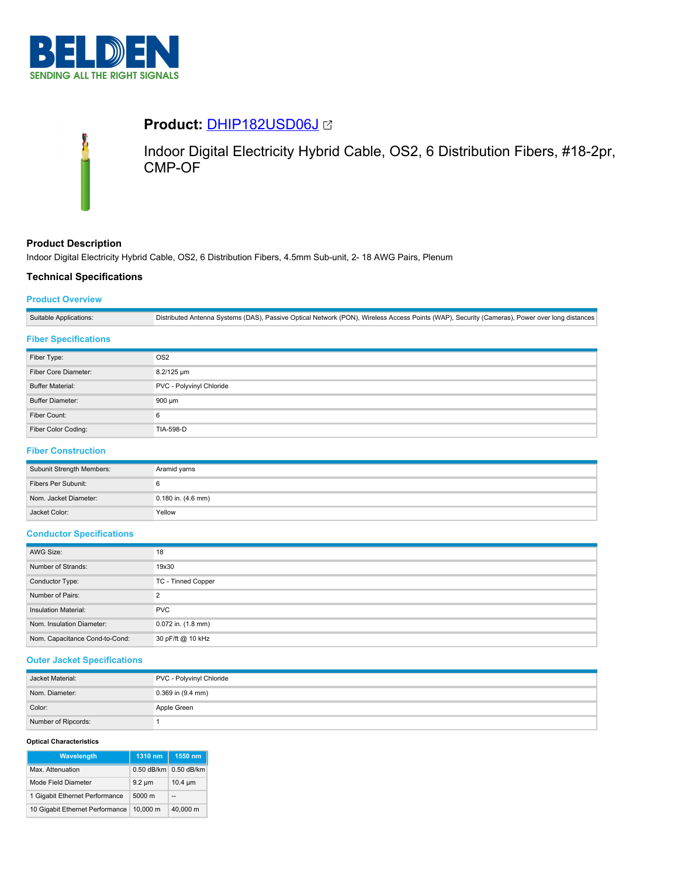

# **Product:** [DHIP182USD06J](https://catalog.belden.com/index.cfm?event=pd&p=PF_DHIP182USD06J&tab=downloads)



Indoor Digital Electricity Hybrid Cable, OS2, 6 Distribution Fibers, #18-2pr, CMP-OF

## **Product Description**

Indoor Digital Electricity Hybrid Cable, OS2, 6 Distribution Fibers, 4.5mm Sub-unit, 2- 18 AWG Pairs, Plenum

## **Technical Specifications**

## **Product Overview**

| Suitable Applications: | Distributed Antenna Systems (DAS), Passive Optical Network (PON), Wireless Access Points (WAP), Security (Cameras), Power over long distances |
|------------------------|-----------------------------------------------------------------------------------------------------------------------------------------------|
|                        |                                                                                                                                               |

## **Fiber Specifications**

| Fiber Type:             | OS <sub>2</sub>          |
|-------------------------|--------------------------|
| Fiber Core Diameter:    | 8.2/125 um               |
| <b>Buffer Material:</b> | PVC - Polyvinyl Chloride |
| <b>Buffer Diameter:</b> | 900 µm                   |
| Fiber Count:            | 6                        |
| Fiber Color Coding:     | <b>TIA-598-D</b>         |

## **Fiber Construction**

| Subunit Strength Members: | Aramid yarns           |
|---------------------------|------------------------|
| Fibers Per Subunit:       |                        |
| Nom, Jacket Diameter:     | $0.180$ in. $(4.6$ mm) |
| Jacket Color:             | Yellow                 |

#### **Conductor Specifications**

| AWG Size:                      | 18                     |
|--------------------------------|------------------------|
| Number of Strands:             | 19x30                  |
| Conductor Type:                | TC - Tinned Copper     |
| Number of Pairs:               |                        |
| Insulation Material:           | <b>PVC</b>             |
| Nom. Insulation Diameter:      | $0.072$ in. $(1.8$ mm) |
| Nom. Capacitance Cond-to-Cond: | 30 pF/ft @ 10 kHz      |

### **Outer Jacket Specifications**

| Jacket Material:    | PVC - Polyvinyl Chloride |
|---------------------|--------------------------|
| Nom. Diameter:      | $0.369$ in $(9.4$ mm)    |
| Color:              | Apple Green              |
| Number of Ripcords: |                          |

#### **Optical Characteristics**

| Wavelength                      | 1310 nm          | 1550 nm      |
|---------------------------------|------------------|--------------|
| Max. Attenuation                | $0.50$ dB/km     | $0.50$ dB/km |
| Mode Field Diameter             | $9.2 \mu m$      | $10.4 \mu m$ |
| 1 Gigabit Ethernet Performance  | $5000 \text{ m}$ | $-$          |
| 10 Gigabit Ethernet Performance | 10.000 m         | 40.000 m     |